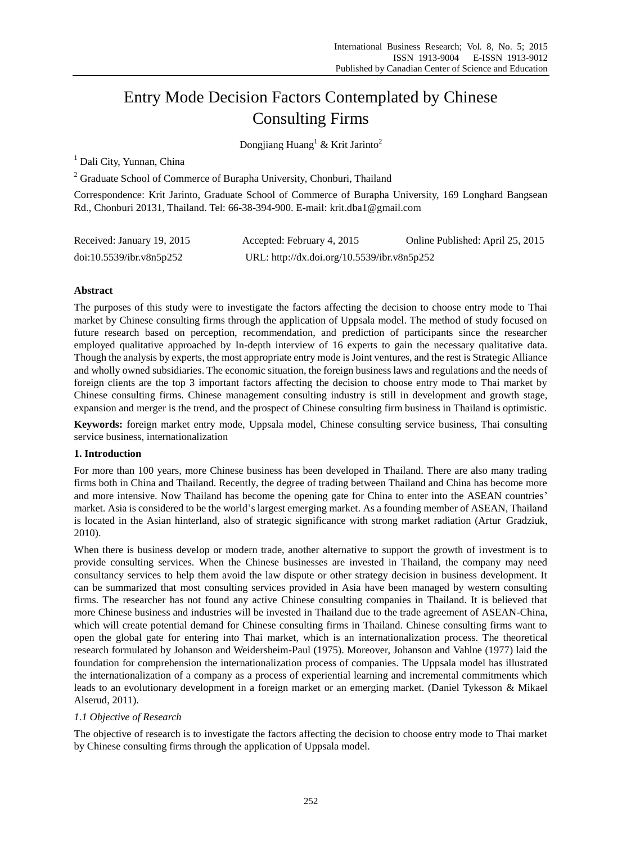# Entry Mode Decision Factors Contemplated by Chinese Consulting Firms

Dongjiang Huang<sup>1</sup> & Krit Jarinto<sup>2</sup>

<sup>1</sup> Dali City, Yunnan, China

<sup>2</sup> Graduate School of Commerce of Burapha University, Chonburi, Thailand

Correspondence: Krit Jarinto, Graduate School of Commerce of Burapha University, 169 Longhard Bangsean Rd., Chonburi 20131, Thailand. Tel: 66-38-394-900. E-mail: [krit.dba1@gmail.com](mailto:krit.dba1@gmail.com)

| Received: January 19, 2015 | Accepted: February 4, 2015                  | Online Published: April 25, 2015 |
|----------------------------|---------------------------------------------|----------------------------------|
| doi:10.5539/ibr.v8n5p252   | URL: http://dx.doi.org/10.5539/ibr.v8n5p252 |                                  |

# **Abstract**

The purposes of this study were to investigate the factors affecting the decision to choose entry mode to Thai market by Chinese consulting firms through the application of Uppsala model. The method of study focused on future research based on perception, recommendation, and prediction of participants since the researcher employed qualitative approached by In-depth interview of 16 experts to gain the necessary qualitative data. Though the analysis by experts, the most appropriate entry mode is Joint ventures, and the rest is Strategic Alliance and wholly owned subsidiaries. The economic situation, the foreign business laws and regulations and the needs of foreign clients are the top 3 important factors affecting the decision to choose entry mode to Thai market by Chinese consulting firms. Chinese management consulting industry is still in development and growth stage, expansion and merger is the trend, and the prospect of Chinese consulting firm business in Thailand is optimistic.

**Keywords:** foreign market entry mode, Uppsala model, Chinese consulting service business, Thai consulting service business, internationalization

## **1. Introduction**

For more than 100 years, more Chinese business has been developed in Thailand. There are also many trading firms both in China and Thailand. Recently, the degree of trading between Thailand and China has become more and more intensive. Now Thailand has become the opening gate for China to enter into the ASEAN countries' market. Asia is considered to be the world's largest emerging market. As a founding member of ASEAN, Thailand is located in the Asian hinterland, also of strategic significance with strong market radiation (Artur Gradziuk, 2010).

When there is business develop or modern trade, another alternative to support the growth of investment is to provide consulting services. When the Chinese businesses are invested in Thailand, the company may need consultancy services to help them avoid the law dispute or other strategy decision in business development. It can be summarized that most consulting services provided in Asia have been managed by western consulting firms. The researcher has not found any active Chinese consulting companies in Thailand. It is believed that more Chinese business and industries will be invested in Thailand due to the trade agreement of ASEAN-China, which will create potential demand for Chinese consulting firms in Thailand. Chinese consulting firms want to open the global gate for entering into Thai market, which is an internationalization process. The theoretical research formulated by Johanson and Weidersheim-Paul (1975). Moreover, Johanson and Vahlne (1977) laid the foundation for comprehension the internationalization process of companies. The Uppsala model has illustrated the internationalization of a company as a process of experiential learning and incremental commitments which leads to an evolutionary development in a foreign market or an emerging market. (Daniel Tykesson & Mikael Alserud, 2011).

## *1.1 Objective of Research*

The objective of research is to investigate the factors affecting the decision to choose entry mode to Thai market by Chinese consulting firms through the application of Uppsala model.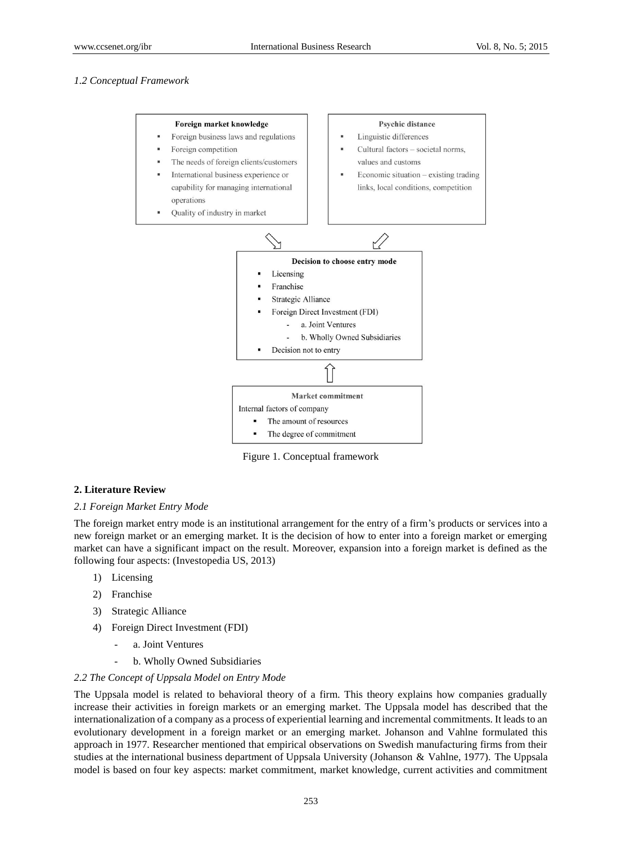**Psychic distance** 

## *1.2 Conceptual Framework*

Foreign market knowledge



Figure 1. Conceptual framework

## **2. Literature Review**

## *2.1 Foreign Market Entry Mode*

The foreign market entry mode is an institutional arrangement for the entry of a firm's products or services into a new foreign market or an emerging market. It is the decision of how to enter into a foreign market or emerging market can have a significant impact on the result. Moreover, expansion into a foreign market is defined as the following four aspects: (Investopedia US, 2013)

- 1) Licensing
- 2) Franchise
- 3) Strategic Alliance
- 4) Foreign Direct Investment (FDI)
	- a. Joint Ventures
	- b. Wholly Owned Subsidiaries

## *2.2 The Concept of Uppsala Model on Entry Mode*

The Uppsala model is related to behavioral theory of a firm. This theory explains how companies gradually increase their activities in foreign markets or an emerging market. The Uppsala model has described that the internationalization of a company as a process of experiential learning and incremental commitments. It leads to an evolutionary development in a foreign market or an emerging market. Johanson and Vahlne formulated this approach in 1977. Researcher mentioned that empirical observations on Swedish manufacturing firms from their studies at the international business department of Uppsala University (Johanson & Vahlne, 1977). The Uppsala model is based on four key aspects: market commitment, market knowledge, current activities and commitment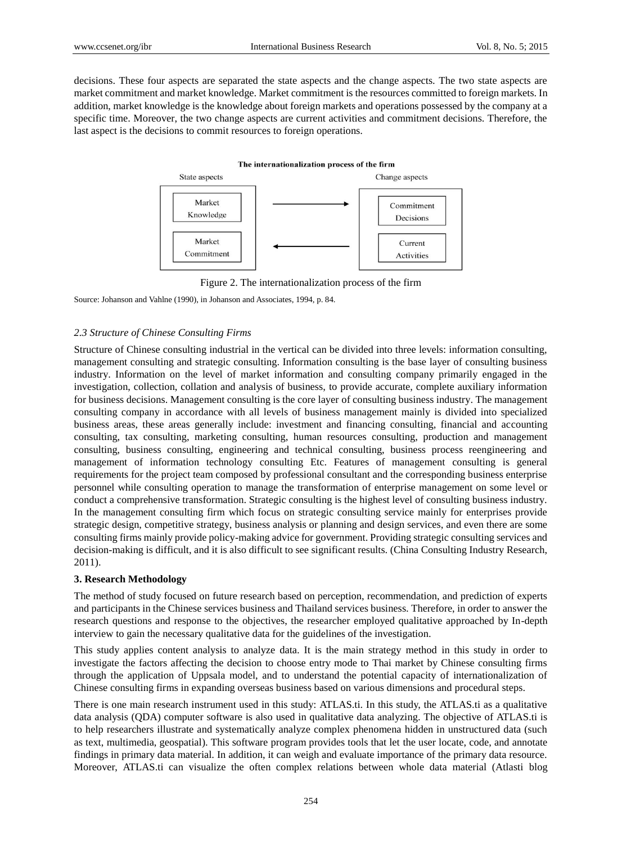decisions. These four aspects are separated the state aspects and the change aspects. The two state aspects are market commitment and market knowledge. Market commitment is the resources committed to foreign markets. In addition, market knowledge is the knowledge about foreign markets and operations possessed by the company at a specific time. Moreover, the two change aspects are current activities and commitment decisions. Therefore, the last aspect is the decisions to commit resources to foreign operations.



Figure 2. The internationalization process of the firm

Source: Johanson and Vahlne (1990), in Johanson and Associates, 1994, p. 84.

#### *2.3 Structure of Chinese Consulting Firms*

Structure of Chinese consulting industrial in the vertical can be divided into three levels: information consulting, management consulting and strategic consulting. Information consulting is the base layer of consulting business industry. Information on the level of market information and consulting company primarily engaged in the investigation, collection, collation and analysis of business, to provide accurate, complete auxiliary information for business decisions. Management consulting is the core layer of consulting business industry. The management consulting company in accordance with all levels of business management mainly is divided into specialized business areas, these areas generally include: investment and financing consulting, financial and accounting consulting, tax consulting, marketing consulting, human resources consulting, production and management consulting, business consulting, engineering and technical consulting, business process reengineering and management of information technology consulting Etc. Features of management consulting is general requirements for the project team composed by professional consultant and the corresponding business enterprise personnel while consulting operation to manage the transformation of enterprise management on some level or conduct a comprehensive transformation. Strategic consulting is the highest level of consulting business industry. In the management consulting firm which focus on strategic consulting service mainly for enterprises provide strategic design, competitive strategy, business analysis or planning and design services, and even there are some consulting firms mainly provide policy-making advice for government. Providing strategic consulting services and decision-making is difficult, and it is also difficult to see significant results. (China Consulting Industry Research, 2011).

#### **3. Research Methodology**

The method of study focused on future research based on perception, recommendation, and prediction of experts and participants in the Chinese services business and Thailand services business. Therefore, in order to answer the research questions and response to the objectives, the researcher employed qualitative approached by In-depth interview to gain the necessary qualitative data for the guidelines of the investigation.

This study applies content analysis to analyze data. It is the main strategy method in this study in order to investigate the factors affecting the decision to choose entry mode to Thai market by Chinese consulting firms through the application of Uppsala model, and to understand the potential capacity of internationalization of Chinese consulting firms in expanding overseas business based on various dimensions and procedural steps.

There is one main research instrument used in this study: ATLAS.ti. In this study, the ATLAS.ti as a qualitative data analysis (QDA) computer software is also used in qualitative data analyzing. The objective of ATLAS.ti is to help researchers illustrate and systematically analyze complex phenomena hidden in unstructured data (such as text, multimedia, geospatial). This software program provides tools that let the user locate, code, and annotate findings in primary data material. In addition, it can weigh and evaluate importance of the primary data resource. Moreover, ATLAS.ti can visualize the often complex relations between whole data material (Atlasti blog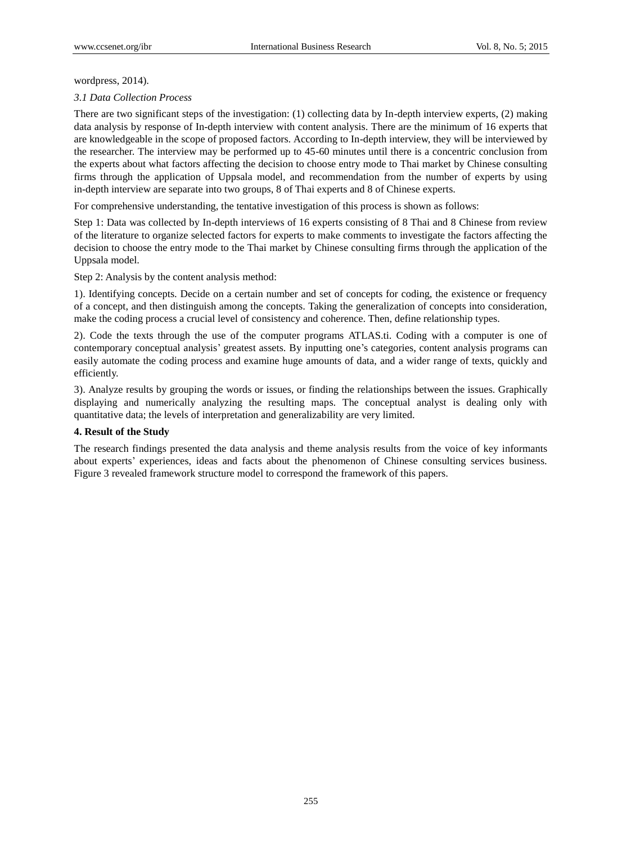wordpress, 2014).

## *3.1 Data Collection Process*

There are two significant steps of the investigation: (1) collecting data by In-depth interview experts, (2) making data analysis by response of In-depth interview with content analysis. There are the minimum of 16 experts that are knowledgeable in the scope of proposed factors. According to In-depth interview, they will be interviewed by the researcher. The interview may be performed up to 45-60 minutes until there is a concentric conclusion from the experts about what factors affecting the decision to choose entry mode to Thai market by Chinese consulting firms through the application of Uppsala model, and recommendation from the number of experts by using in-depth interview are separate into two groups, 8 of Thai experts and 8 of Chinese experts.

For comprehensive understanding, the tentative investigation of this process is shown as follows:

Step 1: Data was collected by In-depth interviews of 16 experts consisting of 8 Thai and 8 Chinese from review of the literature to organize selected factors for experts to make comments to investigate the factors affecting the decision to choose the entry mode to the Thai market by Chinese consulting firms through the application of the Uppsala model.

Step 2: Analysis by the content analysis method:

1). Identifying concepts. Decide on a certain number and set of concepts for coding, the existence or frequency of a concept, and then distinguish among the concepts. Taking the generalization of concepts into consideration, make the coding process a crucial level of consistency and coherence. Then, define relationship types.

2). Code the texts through the use of the computer programs ATLAS.ti. Coding with a computer is one of contemporary conceptual analysis' greatest assets. By inputting one's categories, content analysis programs can easily automate the coding process and examine huge amounts of data, and a wider range of texts, quickly and efficiently.

3). Analyze results by grouping the words or issues, or finding the relationships between the issues. Graphically displaying and numerically analyzing the resulting maps. The conceptual analyst is dealing only with quantitative data; the levels of interpretation and generalizability are very limited.

## **4. Result of the Study**

The research findings presented the data analysis and theme analysis results from the voice of key informants about experts' experiences, ideas and facts about the phenomenon of Chinese consulting services business. Figure 3 revealed framework structure model to correspond the framework of this papers.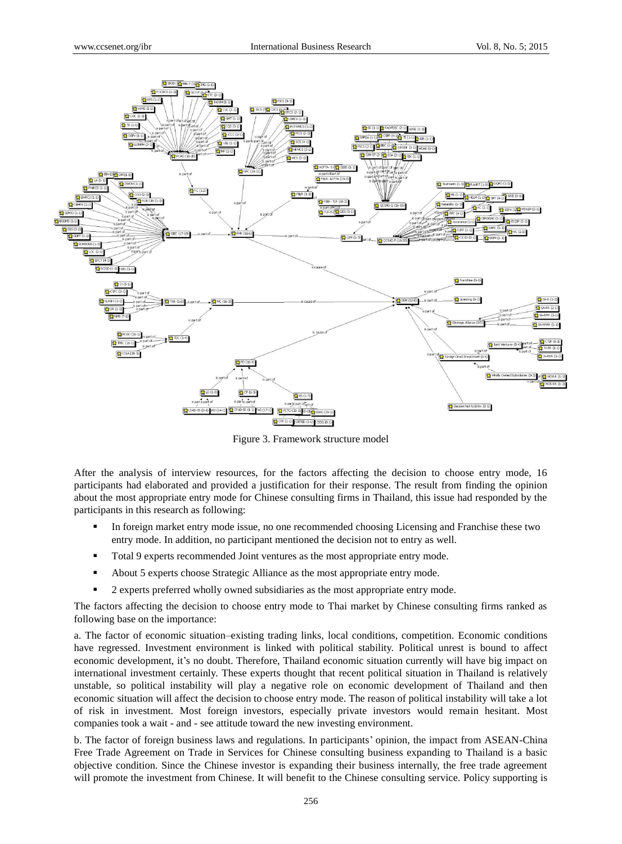

Figure 3. Framework structure model

After the analysis of interview resources, for the factors affecting the decision to choose entry mode, 16 participants had elaborated and provided a justification for their response. The result from finding the opinion about the most appropriate entry mode for Chinese consulting firms in Thailand, this issue had responded by the participants in this research as following:

- In foreign market entry mode issue, no one recommended choosing Licensing and Franchise these two entry mode. In addition, no participant mentioned the decision not to entry as well.
- Total 9 experts recommended Joint ventures as the most appropriate entry mode.
- About 5 experts choose Strategic Alliance as the most appropriate entry mode.
- 2 experts preferred wholly owned subsidiaries as the most appropriate entry mode.

The factors affecting the decision to choose entry mode to Thai market by Chinese consulting firms ranked as following base on the importance:

a. The factor of economic situation–existing trading links, local conditions, competition. Economic conditions have regressed. Investment environment is linked with political stability. Political unrest is bound to affect economic development, it's no doubt. Therefore, Thailand economic situation currently will have big impact on international investment certainly. These experts thought that recent political situation in Thailand is relatively unstable, so political instability will play a negative role on economic development of Thailand and then economic situation will affect the decision to choose entry mode. The reason of political instability will take a lot of risk in investment. Most foreign investors, especially private investors would remain hesitant. Most companies took a wait - and - see attitude toward the new investing environment.

b. The factor of foreign business laws and regulations. In participants' opinion, the impact from ASEAN-China Free Trade Agreement on Trade in Services for Chinese consulting business expanding to Thailand is a basic objective condition. Since the Chinese investor is expanding their business internally, the free trade agreement will promote the investment from Chinese. It will benefit to the Chinese consulting service. Policy supporting is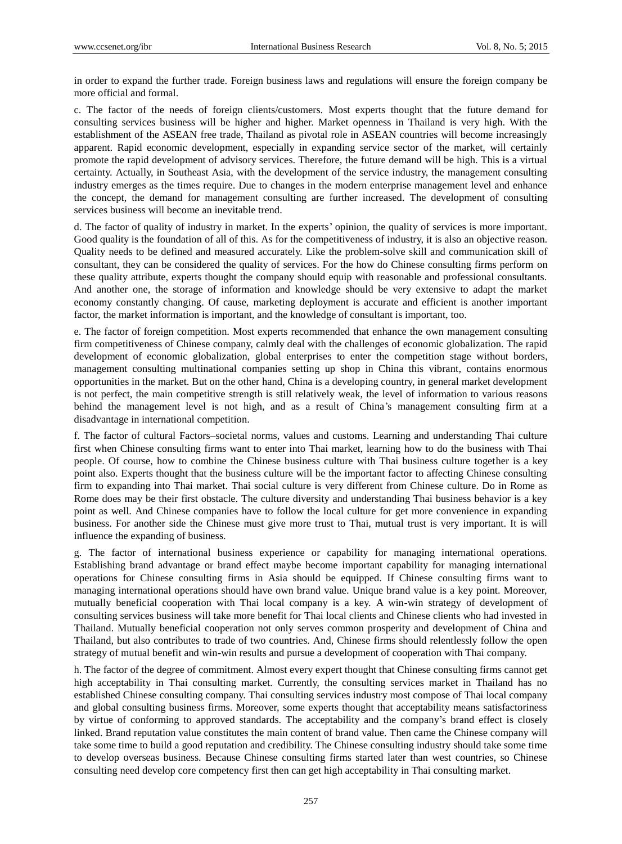in order to expand the further trade. Foreign business laws and regulations will ensure the foreign company be more official and formal.

c. The factor of the needs of foreign clients/customers. Most experts thought that the future demand for consulting services business will be higher and higher. Market openness in Thailand is very high. With the establishment of the ASEAN free trade, Thailand as pivotal role in ASEAN countries will become increasingly apparent. Rapid economic development, especially in expanding service sector of the market, will certainly promote the rapid development of advisory services. Therefore, the future demand will be high. This is a virtual certainty. Actually, in Southeast Asia, with the development of the service industry, the management consulting industry emerges as the times require. Due to changes in the modern enterprise management level and enhance the concept, the demand for management consulting are further increased. The development of consulting services business will become an inevitable trend.

d. The factor of quality of industry in market. In the experts' opinion, the quality of services is more important. Good quality is the foundation of all of this. As for the competitiveness of industry, it is also an objective reason. Quality needs to be defined and measured accurately. Like the problem-solve skill and communication skill of consultant, they can be considered the quality of services. For the how do Chinese consulting firms perform on these quality attribute, experts thought the company should equip with reasonable and professional consultants. And another one, the storage of information and knowledge should be very extensive to adapt the market economy constantly changing. Of cause, marketing deployment is accurate and efficient is another important factor, the market information is important, and the knowledge of consultant is important, too.

e. The factor of foreign competition. Most experts recommended that enhance the own management consulting firm competitiveness of Chinese company, calmly deal with the challenges of economic globalization. The rapid development of economic globalization, global enterprises to enter the competition stage without borders, management consulting multinational companies setting up shop in China this vibrant, contains enormous opportunities in the market. But on the other hand, China is a developing country, in general market development is not perfect, the main competitive strength is still relatively weak, the level of information to various reasons behind the management level is not high, and as a result of China's management consulting firm at a disadvantage in international competition.

f. The factor of cultural Factors–societal norms, values and customs. Learning and understanding Thai culture first when Chinese consulting firms want to enter into Thai market, learning how to do the business with Thai people. Of course, how to combine the Chinese business culture with Thai business culture together is a key point also. Experts thought that the business culture will be the important factor to affecting Chinese consulting firm to expanding into Thai market. Thai social culture is very different from Chinese culture. Do in Rome as Rome does may be their first obstacle. The culture diversity and understanding Thai business behavior is a key point as well. And Chinese companies have to follow the local culture for get more convenience in expanding business. For another side the Chinese must give more trust to Thai, mutual trust is very important. It is will influence the expanding of business.

g. The factor of international business experience or capability for managing international operations. Establishing brand advantage or brand effect maybe become important capability for managing international operations for Chinese consulting firms in Asia should be equipped. If Chinese consulting firms want to managing international operations should have own brand value. Unique brand value is a key point. Moreover, mutually beneficial cooperation with Thai local company is a key. A win-win strategy of development of consulting services business will take more benefit for Thai local clients and Chinese clients who had invested in Thailand. Mutually beneficial cooperation not only serves common prosperity and development of China and Thailand, but also contributes to trade of two countries. And, Chinese firms should relentlessly follow the open strategy of mutual benefit and win-win results and pursue a development of cooperation with Thai company.

h. The factor of the degree of commitment. Almost every expert thought that Chinese consulting firms cannot get high acceptability in Thai consulting market. Currently, the consulting services market in Thailand has no established Chinese consulting company. Thai consulting services industry most compose of Thai local company and global consulting business firms. Moreover, some experts thought that acceptability means satisfactoriness by virtue of conforming to approved standards. The acceptability and the company's brand effect is closely linked. Brand reputation value constitutes the main content of brand value. Then came the Chinese company will take some time to build a good reputation and credibility. The Chinese consulting industry should take some time to develop overseas business. Because Chinese consulting firms started later than west countries, so Chinese consulting need develop core competency first then can get high acceptability in Thai consulting market.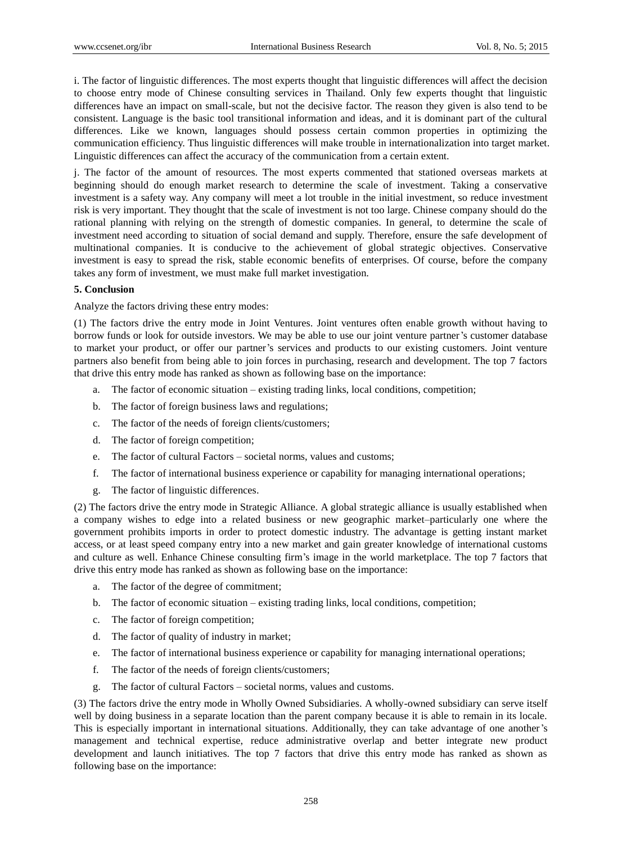i. The factor of linguistic differences. The most experts thought that linguistic differences will affect the decision to choose entry mode of Chinese consulting services in Thailand. Only few experts thought that linguistic differences have an impact on small-scale, but not the decisive factor. The reason they given is also tend to be consistent. Language is the basic tool transitional information and ideas, and it is dominant part of the cultural differences. Like we known, languages should possess certain common properties in optimizing the communication efficiency. Thus linguistic differences will make trouble in internationalization into target market. Linguistic differences can affect the accuracy of the communication from a certain extent.

j. The factor of the amount of resources. The most experts commented that stationed overseas markets at beginning should do enough market research to determine the scale of investment. Taking a conservative investment is a safety way. Any company will meet a lot trouble in the initial investment, so reduce investment risk is very important. They thought that the scale of investment is not too large. Chinese company should do the rational planning with relying on the strength of domestic companies. In general, to determine the scale of investment need according to situation of social demand and supply. Therefore, ensure the safe development of multinational companies. It is conducive to the achievement of global strategic objectives. Conservative investment is easy to spread the risk, stable economic benefits of enterprises. Of course, before the company takes any form of investment, we must make full market investigation.

## **5. Conclusion**

Analyze the factors driving these entry modes:

(1) The factors drive the entry mode in Joint Ventures. Joint ventures often enable growth without having to borrow funds or look for outside investors. We may be able to use our joint venture partner's customer database to market your product, or offer our partner's services and products to our existing customers. Joint venture partners also benefit from being able to join forces in purchasing, research and development. The top 7 factors that drive this entry mode has ranked as shown as following base on the importance:

- a. The factor of economic situation existing trading links, local conditions, competition;
- b. The factor of foreign business laws and regulations;
- c. The factor of the needs of foreign clients/customers;
- d. The factor of foreign competition;
- e. The factor of cultural Factors societal norms, values and customs;
- f. The factor of international business experience or capability for managing international operations;
- g. The factor of linguistic differences.

(2) The factors drive the entry mode in Strategic Alliance. A global strategic alliance is usually established when a company wishes to edge into a related business or new geographic market–particularly one where the government prohibits imports in order to protect domestic industry. The advantage is getting instant market access, or at least speed company entry into a new market and gain greater knowledge of international customs and culture as well. Enhance Chinese consulting firm's image in the world marketplace. The top 7 factors that drive this entry mode has ranked as shown as following base on the importance:

- a. The factor of the degree of commitment;
- b. The factor of economic situation existing trading links, local conditions, competition;
- c. The factor of foreign competition;
- d. The factor of quality of industry in market;
- e. The factor of international business experience or capability for managing international operations;
- f. The factor of the needs of foreign clients/customers;
- g. The factor of cultural Factors societal norms, values and customs.

(3) The factors drive the entry mode in Wholly Owned Subsidiaries. A wholly-owned subsidiary can serve itself well by doing business in a separate location than the parent company because it is able to remain in its locale. This is especially important in international situations. Additionally, they can take advantage of one another's management and technical expertise, reduce administrative overlap and better integrate new product development and launch initiatives. The top 7 factors that drive this entry mode has ranked as shown as following base on the importance: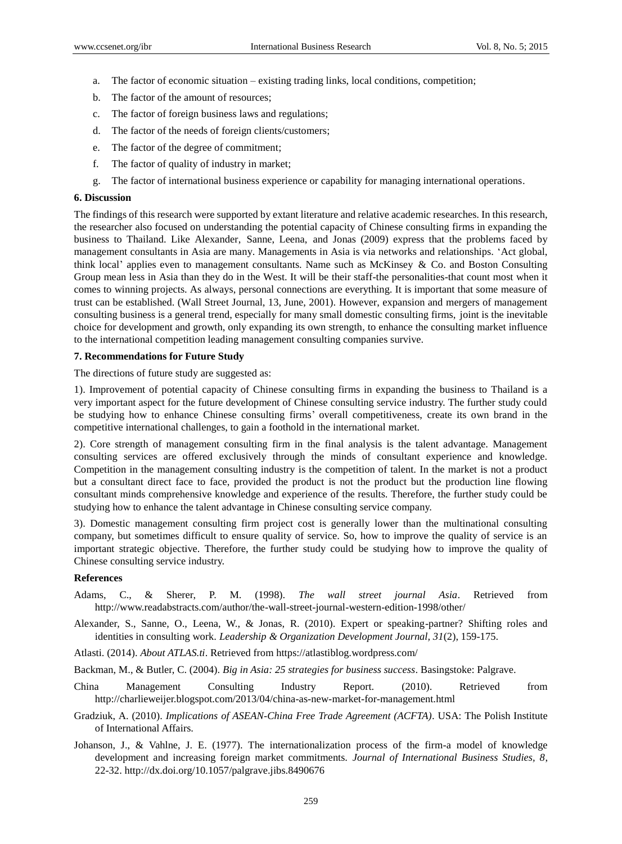- a. The factor of economic situation existing trading links, local conditions, competition;
- b. The factor of the amount of resources;
- c. The factor of foreign business laws and regulations;
- d. The factor of the needs of foreign clients/customers;
- e. The factor of the degree of commitment;
- f. The factor of quality of industry in market;
- g. The factor of international business experience or capability for managing international operations.

#### **6. Discussion**

The findings of this research were supported by extant literature and relative academic researches. In this research, the researcher also focused on understanding the potential capacity of Chinese consulting firms in expanding the business to Thailand. Like Alexander, Sanne, Leena, and Jonas (2009) express that the problems faced by management consultants in Asia are many. Managements in Asia is via networks and relationships. 'Act global, think local' applies even to management consultants. Name such as McKinsey & Co. and Boston Consulting Group mean less in Asia than they do in the West. It will be their staff-the personalities-that count most when it comes to winning projects. As always, personal connections are everything. It is important that some measure of trust can be established. (Wall Street Journal, 13, June, 2001). However, expansion and mergers of management consulting business is a general trend, especially for many small domestic consulting firms, joint is the inevitable choice for development and growth, only expanding its own strength, to enhance the consulting market influence to the international competition leading management consulting companies survive.

#### **7. Recommendations for Future Study**

The directions of future study are suggested as:

1). Improvement of potential capacity of Chinese consulting firms in expanding the business to Thailand is a very important aspect for the future development of Chinese consulting service industry. The further study could be studying how to enhance Chinese consulting firms' overall competitiveness, create its own brand in the competitive international challenges, to gain a foothold in the international market.

2). Core strength of management consulting firm in the final analysis is the talent advantage. Management consulting services are offered exclusively through the minds of consultant experience and knowledge. Competition in the management consulting industry is the competition of talent. In the market is not a product but a consultant direct face to face, provided the product is not the product but the production line flowing consultant minds comprehensive knowledge and experience of the results. Therefore, the further study could be studying how to enhance the talent advantage in Chinese consulting service company.

3). Domestic management consulting firm project cost is generally lower than the multinational consulting company, but sometimes difficult to ensure quality of service. So, how to improve the quality of service is an important strategic objective. Therefore, the further study could be studying how to improve the quality of Chinese consulting service industry.

#### **References**

- Adams, C., & Sherer, P. M. (1998). *The wall street journal Asia*. Retrieved from http://www.readabstracts.com/author/the-wall-street-journal-western-edition-1998/other/
- Alexander, S., Sanne, O., Leena, W., & Jonas, R. (2010). Expert or speaking-partner? Shifting roles and identities in consulting work. *Leadership & Organization Development Journal, 31*(2), 159-175.
- Atlasti. (2014). *About ATLAS.ti*. Retrieved from https://atlastiblog.wordpress.com/

Backman, M., & Butler, C. (2004). *Big in Asia: 25 strategies for business success*. Basingstoke: Palgrave.

- China Management Consulting Industry Report. (2010). Retrieved from <http://charlieweijer.blogspot.com/2013/04/china-as-new-market-for-management.html>
- Gradziuk, A. (2010). *Implications of ASEAN-China Free Trade Agreement (ACFTA)*. USA: The Polish Institute of International Affairs.
- Johanson, J., & Vahlne, J. E. (1977). The internationalization process of the firm-a model of knowledge development and increasing foreign market commitments. *Journal of International Business Studies, 8*, 22-32. <http://dx.doi.org/10.1057/palgrave.jibs.8490676>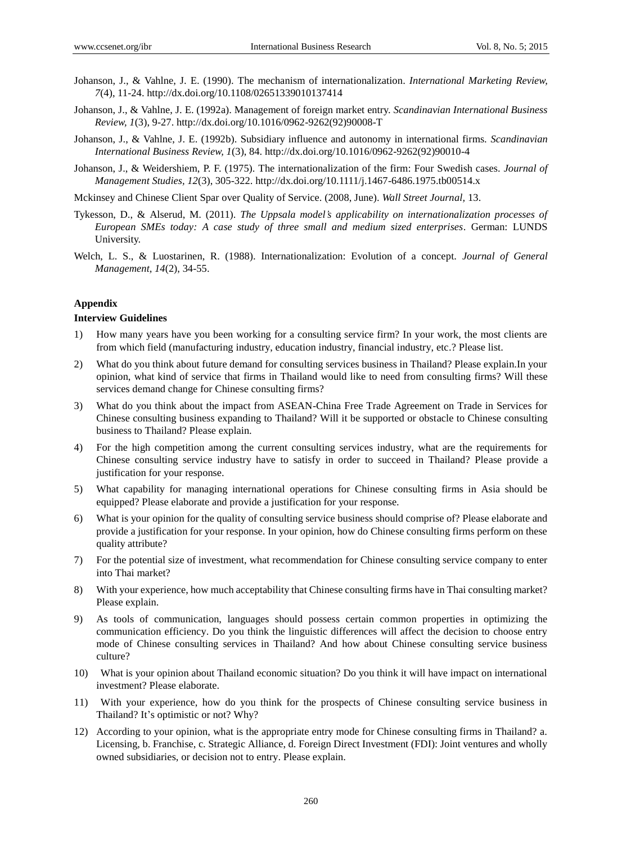- Johanson, J., & Vahlne, J. E. (1990). The mechanism of internationalization. *International Marketing Review, 7*(4), 11-24. <http://dx.doi.org/10.1108/02651339010137414>
- Johanson, J., & Vahlne, J. E. (1992a). Management of foreign market entry. *Scandinavian International Business Review, 1*(3), 9-27. [http://dx.doi.org/10.1016/0962-9262\(92\)90008-T](http://dx.doi.org/10.1016/0962-9262(92)90008-T)
- Johanson, J., & Vahlne, J. E. (1992b). Subsidiary influence and autonomy in international firms. *Scandinavian International Business Review, 1*(3), 84. http://dx[.doi.org/10.1016/0962-9262\(92\)90010-4](http://dx.doi.org/10.1016/0962-9262(92)90010-4)
- Johanson, J., & Weidershiem, P. F. (1975). The internationalization of the firm: Four Swedish cases. *Journal of Management Studies, 12*(3), 305-322. <http://dx.doi.org/10.1111/j.1467-6486.1975.tb00514.x>

Mckinsey and Chinese Client Spar over Quality of Service. (2008, June). *Wall Street Journal,* 13.

- Tykesson, D., & Alserud, M. (2011). *The Uppsala model's applicability on internationalization processes of European SMEs today: A case study of three small and medium sized enterprises*. German: LUNDS University.
- Welch, L. S., & Luostarinen, R. (1988). Internationalization: Evolution of a concept. *Journal of General Management, 14*(2), 34-55.

#### **Appendix**

#### **Interview Guidelines**

- 1) How many years have you been working for a consulting service firm? In your work, the most clients are from which field (manufacturing industry, education industry, financial industry, etc.? Please list.
- 2) What do you think about future demand for consulting services business in Thailand? Please explain.In your opinion, what kind of service that firms in Thailand would like to need from consulting firms? Will these services demand change for Chinese consulting firms?
- 3) What do you think about the impact from ASEAN-China Free Trade Agreement on Trade in Services for Chinese consulting business expanding to Thailand? Will it be supported or obstacle to Chinese consulting business to Thailand? Please explain.
- 4) For the high competition among the current consulting services industry, what are the requirements for Chinese consulting service industry have to satisfy in order to succeed in Thailand? Please provide a justification for your response.
- 5) What capability for managing international operations for Chinese consulting firms in Asia should be equipped? Please elaborate and provide a justification for your response.
- 6) What is your opinion for the quality of consulting service business should comprise of? Please elaborate and provide a justification for your response. In your opinion, how do Chinese consulting firms perform on these quality attribute?
- 7) For the potential size of investment, what recommendation for Chinese consulting service company to enter into Thai market?
- 8) With your experience, how much acceptability that Chinese consulting firms have in Thai consulting market? Please explain.
- 9) As tools of communication, languages should possess certain common properties in optimizing the communication efficiency. Do you think the linguistic differences will affect the decision to choose entry mode of Chinese consulting services in Thailand? And how about Chinese consulting service business culture?
- 10) What is your opinion about Thailand economic situation? Do you think it will have impact on international investment? Please elaborate.
- 11) With your experience, how do you think for the prospects of Chinese consulting service business in Thailand? It's optimistic or not? Why?
- 12) According to your opinion, what is the appropriate entry mode for Chinese consulting firms in Thailand? a. Licensing, b. Franchise, c. Strategic Alliance, d. Foreign Direct Investment (FDI): Joint ventures and wholly owned subsidiaries, or decision not to entry. Please explain.